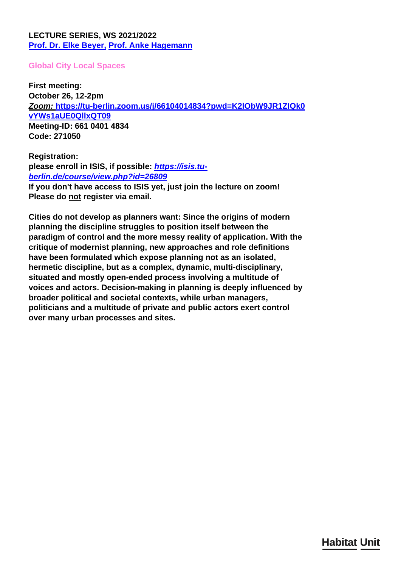### <span id="page-0-0"></span>**LECTURE SERIES, WS 2021/2022 [Prof. Dr. Elke Beyer](/en/team/elke-beyer/)[,](/en/team/anke-hagemann/) [Prof. Anke Hagemann](/en/team/anke-hagemann/)**

### **Global City Local Spaces**

**First meeting: October 26, 12-2pm** *Zoom:* **[https://tu-berlin.zoom.us/j/66104014834?pwd=K2lObW9JR1ZIQk0](https://tu-berlin.zoom.us/j/66104014834?pwd=K2lObW9JR1ZIQk0vYWs1aUE0QllxQT09) [vYWs1aUE0QllxQT09](https://tu-berlin.zoom.us/j/66104014834?pwd=K2lObW9JR1ZIQk0vYWs1aUE0QllxQT09) Meeting-ID: 661 0401 4834 Code: 271050**

**Registration: please enroll in ISIS, if possible:** *[https://isis.tu](https://isis.tu-berlin.de/course/view.php?id=26809)[berlin.de/course/view.php?id=26809](https://isis.tu-berlin.de/course/view.php?id=26809)* **If you don't have access to ISIS yet, just join the lecture on zoom! Please do not register via email.**

**Cities do not develop as planners want: Since the origins of modern planning the discipline struggles to position itself between the paradigm of control and the more messy reality of application. With the critique of modernist planning, new approaches and role definitions have been formulated which expose planning not as an isolated, hermetic discipline, but as a complex, dynamic, multi-disciplinary, situated and mostly open-ended process involving a multitude of voices and actors. Decision-making in planning is deeply influenced by broader political and societal contexts, while urban managers, politicians and a multitude of private and public actors exert control over many urban processes and sites.**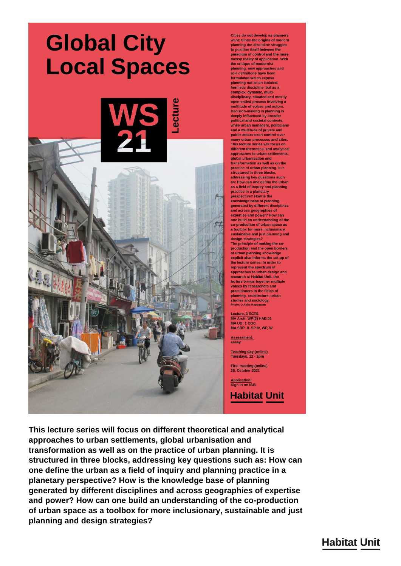# **Global City Local Spaces**



Cities do not develop as planners<br>want: Since the origins of modern planning the discipline struggles<br>to position itself between the paradigm of control and the more<br>messy reality of application. With the critique of modernist<br>planning, new approaches and role definitions have been<br>formulated which expose planning not as an isolated, hermetic discipline, but as a complex, dynamic, multi-<br>disciplinary, situated and mostly open-ended process involving a<br>multitude of voices and actors. Decision-making in planning is deeply influenced by broader political and societal contexts,<br>while urban managers, politicians and a multitude of private and public actors exert control over nany urban processes and sites. This lecture series will focus on different theoretical and analytical approaches to urban settlements. global urbanisation and transformation as well as on the practice of urban planning. It is structured in three blocks. addressing key questions such as: How can one define the urban as a field of inquiry and planning practice in a planetary perspective? How is the knowledge base of planning<br>generated by different disciplines and across geographies of<br>expertise and power? How can one build an understanding of the co-production of urban space as a toolbox for more inclusionary sustainable and just planning and design strategies?<br>The principle of making the co production and the open borders<br>of urban planning knowledge explicit also informs the set-up of the lecture series: In order to represent the spectrum of approaches to urban design and research at Habitat Unit, the lecture brings together multiple voices by researchers and practitioners in the fields of planning, architecture, urban<br>studies and sociology,<br>Photo: © Anke Hagemann

ecture, 3 ECTS MA Arch: WP(3) HAB.01<br>MA UD: 1 COC MA SRP: 8, SP IV, WP, W

Assessment:<br>essay

Teaching day (online)<br>Tuesdays, 12 - 2pm

First meeting (online)<br>26. October 2021

Application:<br>Sign in on ISIS

**Habitat Unit** 

This lecture series will focus on different theoretical and analytical approaches to urban settlements, global urbanisation and transformation as well as on the practice of urban planning. It is structured in three blocks, addressing key questions such as: How can one define the urban as a field of inquiry and planning practice in a planetary perspective? How is the knowledge base of planning generated by different disciplines and across geographies of expertise and power? How can one build an understanding of the co-production of urban space as a toolbox for more inclusionary, sustainable and just planning and design strategies?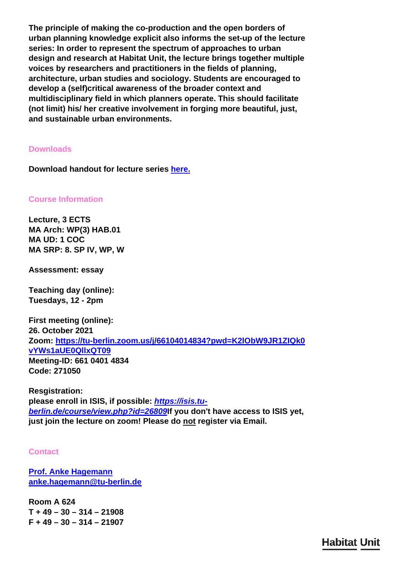**The principle of making the co-production and the open borders of urban planning knowledge explicit also informs the set-up of the lecture series: In order to represent the spectrum of approaches to urban design and research at Habitat Unit, the lecture brings together multiple voices by researchers and practitioners in the fields of planning, architecture, urban studies and sociology. Students are encouraged to develop a (self)critical awareness of the broader context and multidisciplinary field in which planners operate. This should facilitate (not limit) his/ her creative involvement in forging more beautiful, just, and sustainable urban environments.**

### **Downloads**

**Download handout for lecture series [here.](#page-0-0)**

**Course Information**

**Lecture, 3 ECTS MA Arch: WP(3) HAB.01 MA UD: 1 COC MA SRP: 8. SP IV, WP, W**

**Assessment: essay**

**Teaching day (online): Tuesdays, 12 - 2pm**

**First meeting (online): 26. October 2021 Zoom: [https://tu-berlin.zoom.us/j/66104014834?pwd=K2lObW9JR1ZIQk0](https://tu-berlin.zoom.us/j/66104014834?pwd=K2lObW9JR1ZIQk0vYWs1aUE0QllxQT09) [vYWs1aUE0QllxQT09](https://tu-berlin.zoom.us/j/66104014834?pwd=K2lObW9JR1ZIQk0vYWs1aUE0QllxQT09) Meeting-ID: 661 0401 4834 Code: 271050**

**Resgistration: please enroll in ISIS, if possible:** *[https://isis.tu](https://isis.tu-berlin.de/course/view.php?id=26809)[berlin.de/course/view.php?id=26809](https://isis.tu-berlin.de/course/view.php?id=26809)***If you don't have access to ISIS yet, just join the lecture on zoom! Please do not register via Email.**

#### **Contact**

**[Prof. Anke Hagemann](/en/team/anke-hagemann/) [anke.hagemann@tu-berlin.de](mailto:anke.hagemann@tu-berlin.de)**

**Room A 624 T + 49 – 30 – 314 – 21908 F + 49 – 30 – 314 – 21907**